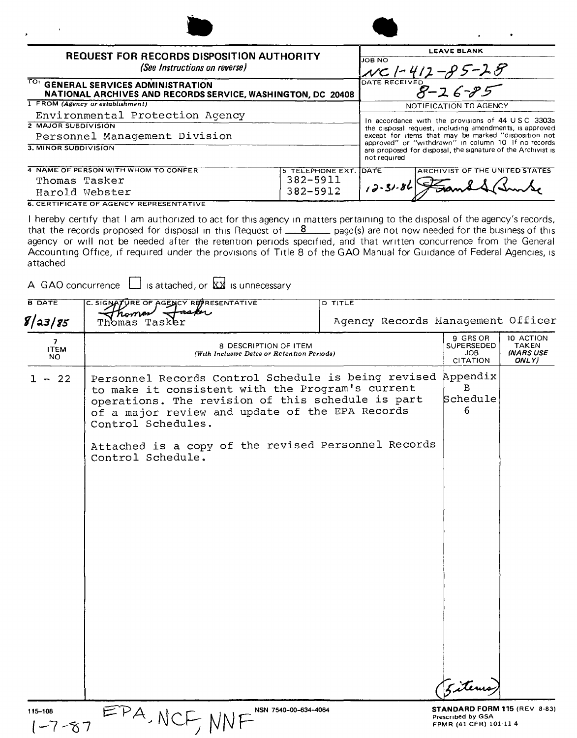| <b>REQUEST FOR RECORDS DISPOSITION AUTHORITY</b><br>(See Instructions on reverse)                  |                        | <b>JOB NO</b>  | <b>LEAVE BLANK</b><br>NC1-412-85-28                                                                                 |
|----------------------------------------------------------------------------------------------------|------------------------|----------------|---------------------------------------------------------------------------------------------------------------------|
| TO: GENERAL SERVICES ADMINISTRATION<br>NATIONAL ARCHIVES AND RECORDS SERVICE, WASHINGTON, DC 20408 |                        |                | DATE RECEIVED<br>$8 - 26 - 85$                                                                                      |
| 1 FROM (Agency or establishment)                                                                   |                        |                | NOTIFICATION TO AGENCY                                                                                              |
| Environmental Protection Agency                                                                    |                        |                |                                                                                                                     |
| <b>2 MAJOR SUBDIVISION</b>                                                                         |                        |                | In accordance with the provisions of 44 U.S.C. 3303a<br>the disposal request, including amendments, is approved     |
| Personnel Management Division                                                                      |                        |                | except for items that may be marked "disposition not                                                                |
| 3. MINOR SUBDIVISION                                                                               |                        | not required   | approved" or "withdrawn" in column 10 If no records<br>are proposed for disposal, the signature of the Archivist is |
| 4 NAME OF PERSON WITH WHOM TO CONFER                                                               | 5 TELEPHONE EXT. IDATE |                | ARCHIVIST OF THE UNITED STATES                                                                                      |
| Thomas Tasker                                                                                      | 382-5911               |                |                                                                                                                     |
| Harold Webster                                                                                     | 382-5912               | $12 - 31 - 86$ |                                                                                                                     |

**6. CERTIFICATE OF AGENCY REPRESENTATIVE** 

I hereby certify that I am authorized to act for this agency in matters pertaining to the disposal of the agency's records, that the records proposed for disposal in this Request of  $\frac{8}{2}$  page(s) are not now needed for the business of this agency or will not be needed after the retention periods specified, and that written concurrence from the General Accounting Office, if required under the provisions of Title 8 of the GAO Manual for Guidance of Federal Agencies, is attached

A GAO concurrence  $\Box$  is attached, or  $\overline{\mathbf{X}}$  is unnecessary

| <b>B DATE</b><br>C. SIGNATURE OF AGENCY REPRESENTATIVE |                                                                                                                                                                                                                                                                                                                            | D TITLE |                                                         |                                                        |
|--------------------------------------------------------|----------------------------------------------------------------------------------------------------------------------------------------------------------------------------------------------------------------------------------------------------------------------------------------------------------------------------|---------|---------------------------------------------------------|--------------------------------------------------------|
| 8 a3 85                                                | rsker<br>roma<br>Agency Records Management Officer<br>Tasker<br>$\overline{\mathbf{z}}$<br>8 DESCRIPTION OF ITEM<br><b>ITEM</b><br>(With Inclusive Dates or Retention Periods)<br>NO.                                                                                                                                      |         |                                                         |                                                        |
|                                                        |                                                                                                                                                                                                                                                                                                                            |         | 9 GRS OR<br>SUPERSEDED<br><b>JOB</b><br><b>CITATION</b> | 10 ACTION<br><b>TAKEN</b><br><b>INARS USE</b><br>ONLY) |
| $1 - 22$                                               | Personnel Records Control Schedule is being revised Appendix<br>to make it consistent with the Program's current<br>operations. The revision of this schedule is part<br>of a major review and update of the EPA Records<br>Control Schedules.<br>Attached is a copy of the revised Personnel Records<br>Control Schedule. |         | B<br>Schedule<br>6<br>Eitemo                            |                                                        |
| 115-108                                                | NSN 7540-00-634-4064                                                                                                                                                                                                                                                                                                       |         | STANDARD FORM 115 (REV 8-83)                            |                                                        |
| $1 - 7 - 87$                                           | EPA, NCF, NN                                                                                                                                                                                                                                                                                                               |         | Prescribed by GSA<br>FPMR (41 CFR) 101-11 4             |                                                        |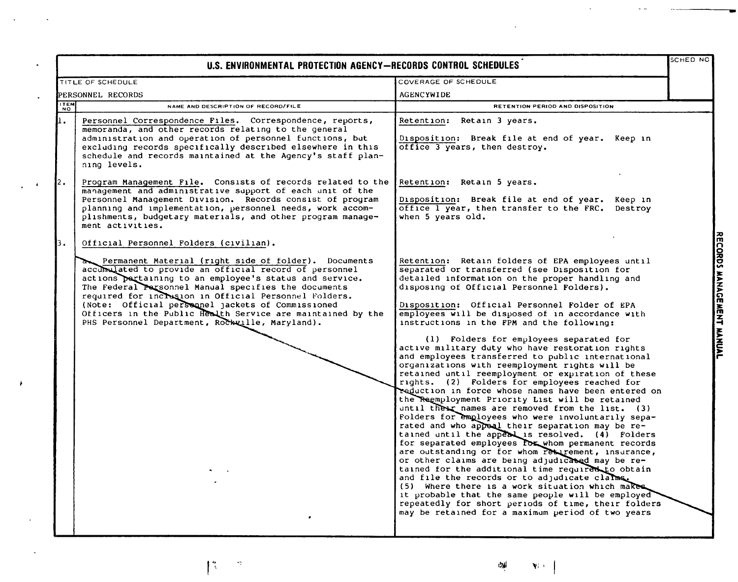| U.S. ENVIRONMENTAL PROTECTION AGENCY-RECORDS CONTROL SCHEDULES |                                                                                                                                                                                                                                                                                                                                                                                                                                                                    |                                                                                                                                                                                                                                                                                                                                                                                                                                                                                                                                                                                                                                                                                                                                                                                                                                                                                                                                                                                                                                                                                                                                                                                                                                                                                                                                                                                                                                                                                         | SCHED NO |
|----------------------------------------------------------------|--------------------------------------------------------------------------------------------------------------------------------------------------------------------------------------------------------------------------------------------------------------------------------------------------------------------------------------------------------------------------------------------------------------------------------------------------------------------|-----------------------------------------------------------------------------------------------------------------------------------------------------------------------------------------------------------------------------------------------------------------------------------------------------------------------------------------------------------------------------------------------------------------------------------------------------------------------------------------------------------------------------------------------------------------------------------------------------------------------------------------------------------------------------------------------------------------------------------------------------------------------------------------------------------------------------------------------------------------------------------------------------------------------------------------------------------------------------------------------------------------------------------------------------------------------------------------------------------------------------------------------------------------------------------------------------------------------------------------------------------------------------------------------------------------------------------------------------------------------------------------------------------------------------------------------------------------------------------------|----------|
|                                                                | TITLE OF SCHEDULE                                                                                                                                                                                                                                                                                                                                                                                                                                                  | COVERAGE OF SCHEDULE                                                                                                                                                                                                                                                                                                                                                                                                                                                                                                                                                                                                                                                                                                                                                                                                                                                                                                                                                                                                                                                                                                                                                                                                                                                                                                                                                                                                                                                                    |          |
|                                                                | PERSONNEL RECORDS                                                                                                                                                                                                                                                                                                                                                                                                                                                  | <b>AGENCYWIDE</b>                                                                                                                                                                                                                                                                                                                                                                                                                                                                                                                                                                                                                                                                                                                                                                                                                                                                                                                                                                                                                                                                                                                                                                                                                                                                                                                                                                                                                                                                       |          |
| TEM                                                            | NAME AND DESCRIPTION OF RECORD/FILE                                                                                                                                                                                                                                                                                                                                                                                                                                | RETENTION PERIOD AND DISPOSITION                                                                                                                                                                                                                                                                                                                                                                                                                                                                                                                                                                                                                                                                                                                                                                                                                                                                                                                                                                                                                                                                                                                                                                                                                                                                                                                                                                                                                                                        |          |
| Ŀ.                                                             | Personnel Correspondence Files. Correspondence, reports,<br>memoranda, and other records relating to the general<br>administration and operation of personnel functions, but<br>excluding records specifically described elsewhere in this<br>schedule and records maintained at the Agency's staff plan-<br>ning levels.                                                                                                                                          | <b>Retention:</b><br>Retain 3 years.<br>Disposition: Break file at end of year. Keep in<br>office 3 years, then destroy.                                                                                                                                                                                                                                                                                                                                                                                                                                                                                                                                                                                                                                                                                                                                                                                                                                                                                                                                                                                                                                                                                                                                                                                                                                                                                                                                                                |          |
| 2.                                                             | Program Management File. Consists of records related to the<br>management and administrative support of each unit of the<br>Personnel Management Division. Records consist of program<br>planning and implementation, personnel needs, work accom-<br>plishments, budgetary materials, and other program manage-<br>ment activities.                                                                                                                               | Retention: Retain 5 years.<br>Disposition: Break file at end of year. Keep in<br>office 1 year, then transfer to the FRC. Destroy<br>when 5 years old.                                                                                                                                                                                                                                                                                                                                                                                                                                                                                                                                                                                                                                                                                                                                                                                                                                                                                                                                                                                                                                                                                                                                                                                                                                                                                                                                  |          |
| 3.                                                             | Official Personnel Folders (civilian).                                                                                                                                                                                                                                                                                                                                                                                                                             |                                                                                                                                                                                                                                                                                                                                                                                                                                                                                                                                                                                                                                                                                                                                                                                                                                                                                                                                                                                                                                                                                                                                                                                                                                                                                                                                                                                                                                                                                         |          |
|                                                                | Permanent Material (right side of folder). Documents<br>acculmulated to provide an official record of personnel<br>actions pertaining to an employee's status and service.<br>The Federal Personnel Manual specifies the documents<br>required for inclusion in Official Personnel Folders.<br>(Note: Official personnel jackets of Commissioned<br>Officers in the Public Health Service are maintained by the<br>PHS Personnel Department, Rockville, Maryland). | Retention: Retain folders of EPA employees until<br>separated or transferred (see Disposition for<br>detailed information on the proper handling and<br>disposing of Official Personnel Folders).<br>Disposition: Official Personnel Folder of EPA<br>employees will be disposed of in accordance with<br>instructions in the FPM and the following:<br>(1) Folders for employees separated for<br>active military duty who have restoration rights<br>and employees transferred to public international<br>organizations with reemployment rights will be<br>retained until reemployment or expiration of these<br>rights. (2) Folders for employees reached for<br>reduction in force whose names have been entered on<br>the Regmployment Priority List will be retained<br>until their names are removed from the list. (3)<br>Folders for employees who were involuntarily sepa-<br>rated and who appeal their separation may be re-<br>tained until the appeal is resolved. (4) Folders<br>for separated employees lox whom permanent records<br>are outstanding or for whom returement, insurance,<br>or other claims are being adjudicated may be re-<br>tained for the additional time required to obtain<br>and file the records or to adjudicate claims.<br>(5) Where there is a work situation which makes<br>it probable that the same people will be employed<br>repeatedly for short periods of time, their folders<br>may be retained for a maximum period of two years |          |

RECORDS MANAGEMENT MANUAL

 $\mathcal{A}^{\pm}$ 

 $\Box$ 

 $\bullet$ 

 $\bar{\star}$ 

 $\sim 4$ 

 $\rightarrow$ 

 $\mathcal{L}^{\pm}$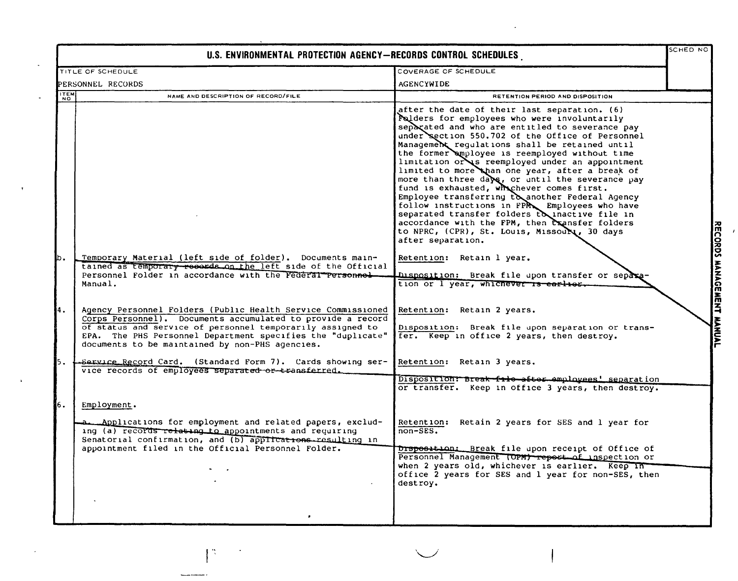| U.S. ENVIRONMENTAL PROTECTION AGENCY-RECORDS CONTROL SCHEDULES |                                                                                                                                                                                                                                                                                                             |                                                                                                                                                                                                                                                                                                                                                                                                                                                                                                                                                                                                                                                                                                                                                                                             | SCHED NO           |
|----------------------------------------------------------------|-------------------------------------------------------------------------------------------------------------------------------------------------------------------------------------------------------------------------------------------------------------------------------------------------------------|---------------------------------------------------------------------------------------------------------------------------------------------------------------------------------------------------------------------------------------------------------------------------------------------------------------------------------------------------------------------------------------------------------------------------------------------------------------------------------------------------------------------------------------------------------------------------------------------------------------------------------------------------------------------------------------------------------------------------------------------------------------------------------------------|--------------------|
|                                                                | TITLE OF SCHEDULE                                                                                                                                                                                                                                                                                           | COVERAGE OF SCHEDULE                                                                                                                                                                                                                                                                                                                                                                                                                                                                                                                                                                                                                                                                                                                                                                        |                    |
|                                                                | PERSONNEL RECORDS                                                                                                                                                                                                                                                                                           | AGENCYWIDE                                                                                                                                                                                                                                                                                                                                                                                                                                                                                                                                                                                                                                                                                                                                                                                  |                    |
| <b>ITEM</b>                                                    | NAME AND DESCRIPTION OF RECORD/FILE                                                                                                                                                                                                                                                                         | RETENTION PERIOD AND DISPOSITION                                                                                                                                                                                                                                                                                                                                                                                                                                                                                                                                                                                                                                                                                                                                                            |                    |
| b.                                                             |                                                                                                                                                                                                                                                                                                             | after the date of their last separation. (6)<br>Folders for employees who were involuntarily<br>separated and who are entitled to severance pay<br>under section 550.702 of the Office of Personnel<br>Management regulations shall be retained until<br>the former amployee is reemployed without time<br>limitation or is reemployed under an appointment<br>limited to more than one year, after a break of<br>more than three days, or until the severance pay<br>fund is exhausted, whichever comes first.<br>Employee transferring to another Federal Agency<br>follow instructions in FPM Employees who have<br>separated transfer folders to inactive file in<br>accordance with the FPM, then transfer folders<br>to NPRC, (CPR), St. Louis, Missour, 30 days<br>after separation. | <b>RECORDS</b>     |
|                                                                | Temporary Material (left side of folder). Documents main-<br>tained as temporary records on the left side of the Official<br>Personnel Folder in accordance with the Federal Personnel<br>Manual.                                                                                                           | Retention: Retain 1 year.<br>Disposition: Break file upon transfer or separa<br>tion or I year, whichever is earlier.                                                                                                                                                                                                                                                                                                                                                                                                                                                                                                                                                                                                                                                                       | <b>HANAGE</b><br>孟 |
| 4.                                                             | Agency Personnel Folders (Public Health Service Commissioned<br>Corps Personnel). Documents accumulated to provide a record<br>of status and service of personnel temporarily assigned to<br>EPA. The PHS Personnel Department specifies the "duplicate"<br>documents to be maintained by non-PHS agencies. | Retention: Retain 2 years.<br>Disposition: Break file upon separation or trans-<br>fer. Keep in office 2 years, then destroy.                                                                                                                                                                                                                                                                                                                                                                                                                                                                                                                                                                                                                                                               |                    |
| 5.                                                             | -Sarvice Record Card. (Standard Form 7). Cards showing ser-<br>vice records of employees separated or transferred.                                                                                                                                                                                          | Retention: Retain 3 years.<br>Disposition: Break file after employees' separation<br>or transfer. Keep in office 3 years, then destroy.                                                                                                                                                                                                                                                                                                                                                                                                                                                                                                                                                                                                                                                     |                    |
| 6.                                                             | Employment.<br>Applications for employment and related papers, exclud-<br>ing (a) records relating to appointments and requiring<br>Senatorial confirmation, and (b) applications resulting in<br>appointment filed in the Official Personnel Folder.                                                       | Retention: Retain 2 years for SES and 1 year for<br>$non-SES.$<br>Drsposition: Break file upon receipt of Office of                                                                                                                                                                                                                                                                                                                                                                                                                                                                                                                                                                                                                                                                         |                    |
|                                                                |                                                                                                                                                                                                                                                                                                             | Personnel Management (OPM) report of inspection or<br>when 2 years old, whichever is earlier. Keep in<br>office 2 years for SES and 1 year for non-SES, then<br>destroy.                                                                                                                                                                                                                                                                                                                                                                                                                                                                                                                                                                                                                    |                    |

 $\mathcal{F}_{\mathcal{G}}$ 

 $\overline{a}$ 

 $\lambda$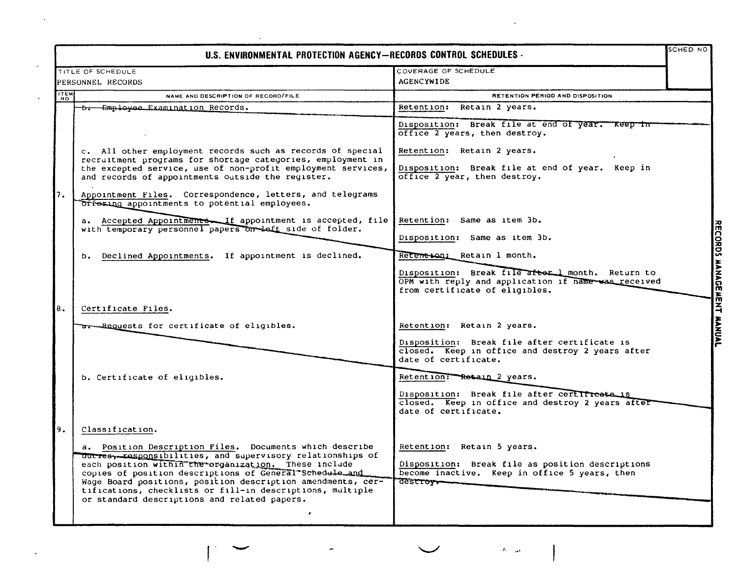|             | TITLE OF SCHEDULE                                                                                                                                                                                                                                                                                                                                                     | COVERAGE OF SCHEDULE                                                                                                                      |  |
|-------------|-----------------------------------------------------------------------------------------------------------------------------------------------------------------------------------------------------------------------------------------------------------------------------------------------------------------------------------------------------------------------|-------------------------------------------------------------------------------------------------------------------------------------------|--|
|             | PERSONNEL RECORDS                                                                                                                                                                                                                                                                                                                                                     | AGENCYWIDE                                                                                                                                |  |
|             |                                                                                                                                                                                                                                                                                                                                                                       |                                                                                                                                           |  |
| <b>ITEM</b> | NAME AND DESCRIPTION OF RECORD/FILE                                                                                                                                                                                                                                                                                                                                   | RETENTION PERIOD AND DISPOSITION                                                                                                          |  |
|             | b. Employee Examination Records.                                                                                                                                                                                                                                                                                                                                      | Retention: Retain 2 years.                                                                                                                |  |
|             |                                                                                                                                                                                                                                                                                                                                                                       | Disposition: Break file at end of year. Keep in<br>office 2 years, then destroy.                                                          |  |
|             | c. All other employment records such as records of special<br>recruitment programs for shortage categories, employment in<br>the excepted service, use of non-profit employment services,                                                                                                                                                                             | Retention: Retain 2 years.<br>Disposition: Break file at end of year. Keep in                                                             |  |
|             | and records of appointments outside the register.                                                                                                                                                                                                                                                                                                                     | office 2 year, then destroy.                                                                                                              |  |
| 7.          | Appointment Files. Correspondence, letters, and telegrams<br>Orfering appointments to potential employees.                                                                                                                                                                                                                                                            |                                                                                                                                           |  |
|             | a. Accepted Appointmente If appointment is accepted, file                                                                                                                                                                                                                                                                                                             | Retention: Same as item 3b.                                                                                                               |  |
|             | with temporary personnel papers on left side of folder.                                                                                                                                                                                                                                                                                                               | Disposition: Same as item 3b.                                                                                                             |  |
|             | b. Declined Appointments. If appointment is declined.                                                                                                                                                                                                                                                                                                                 | Retentton: Retain 1 month.                                                                                                                |  |
|             |                                                                                                                                                                                                                                                                                                                                                                       | Disposition: Break file after I month. Return to<br>OPM with reply and application if name was received<br>from certificate of eligibles. |  |
| 8.          | Certificate Files.                                                                                                                                                                                                                                                                                                                                                    |                                                                                                                                           |  |
|             | a. Requests for certificate of eligibles.                                                                                                                                                                                                                                                                                                                             | Retention: Retain 2 years.                                                                                                                |  |
|             |                                                                                                                                                                                                                                                                                                                                                                       | Disposition: Break file after certificate is<br>closed. Keep in office and destroy 2 years after<br>date of certificate.                  |  |
|             | b. Certificate of eligibles.                                                                                                                                                                                                                                                                                                                                          | Retention: Resain 2 years.                                                                                                                |  |
|             |                                                                                                                                                                                                                                                                                                                                                                       | Disposition: Break file after certifreate is<br>closed. Keep in office and destroy 2 years after<br>date of certificate.                  |  |
| 9.          | Classification.                                                                                                                                                                                                                                                                                                                                                       |                                                                                                                                           |  |
|             | a. Position Description Files. Documents which describe                                                                                                                                                                                                                                                                                                               | Retention: Retain 5 years.                                                                                                                |  |
|             | ducres <sub>y-Kasponsibilities, and supervisory relationships of</sub><br>each position within the organization. These include<br>copies of position descriptions of General Schedule_and<br>Wage Board positions, position description amendments, cer-<br>tifications, checklists or fill-in descriptions, multiple<br>or standard descriptions and related papers. | Disposition: Break file as position descriptions<br>become inactive. Keep in office 5 years, then<br>destroy                              |  |

÷

 $\mathcal{L}^{\text{max}}_{\text{max}}$  and  $\mathcal{L}^{\text{max}}_{\text{max}}$ 

 $\mathcal{L}^{\text{max}}_{\text{max}}$  .

 $\langle t_0 \rangle_{\rm{gal}}$ 

 $\sim 10^{11}$  km s  $^{-1}$ 

 $\langle \cdot \rangle$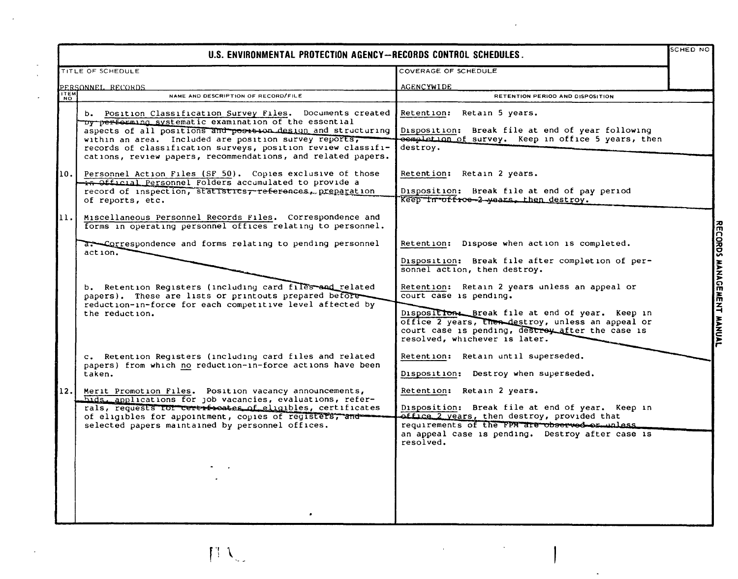| U.S. ENVIRONMENTAL PROTECTION AGENCY-RECORDS CONTROL SCHEDULES. |                                                                                                                                                                                                                                                                                                                                                                              |                                                                                                                                                                                                                                                 | SCHED NO                  |
|-----------------------------------------------------------------|------------------------------------------------------------------------------------------------------------------------------------------------------------------------------------------------------------------------------------------------------------------------------------------------------------------------------------------------------------------------------|-------------------------------------------------------------------------------------------------------------------------------------------------------------------------------------------------------------------------------------------------|---------------------------|
|                                                                 | TITLE OF SCHEDULE                                                                                                                                                                                                                                                                                                                                                            | COVERAGE OF SCHEDULE                                                                                                                                                                                                                            |                           |
|                                                                 | PERSONNEL RECORDS                                                                                                                                                                                                                                                                                                                                                            | <b>AGENCYWIDE</b>                                                                                                                                                                                                                               |                           |
| <b>ITEM</b>                                                     | NAME AND DESCRIPTION OF RECORD/FILE                                                                                                                                                                                                                                                                                                                                          | RETENTION PERIOD AND DISPOSITION                                                                                                                                                                                                                |                           |
|                                                                 | b. Position Classification Survey Files. Documents created<br>by performing systematic examination of the essential<br>aspects of all positions and position design and structuring<br>within an area. Included are position survey reports,<br>records of classification surveys, position review classifi-<br>cations, review papers, recommendations, and related papers. | Retention: Retain 5 years.<br>Disposition: Break file at end of year following<br>completion of survey. Keep in office 5 years, then<br>destroy.                                                                                                |                           |
| 10.                                                             | Personnel Action Files (SF 50). Copies exclusive of those<br>in Official Personnel Folders accumulated to provide a<br>record of inspection, statistics, references, preparation<br>of reports, etc.                                                                                                                                                                         | Retention: Retain 2 years.<br>Disposition: Break file at end of pay period<br>Keep in office 2 years, then destroy.                                                                                                                             |                           |
| 11.                                                             | Miscellaneous Personnel Records Files. Correspondence and<br>forms in operating personnel offices relating to personnel.                                                                                                                                                                                                                                                     |                                                                                                                                                                                                                                                 |                           |
|                                                                 | a. Correspondence and forms relating to pending personnel<br>action.<br>b. Retention Registers (including card files and related<br>papers). These are lists or printouts prepared before                                                                                                                                                                                    | Retention: Dispose when action is completed.<br>Disposition: Break file after completion of per-<br>sonnel action, then destroy.<br>Retention: Retain 2 years unless an appeal or<br>court case is pending.                                     | RECORDS MANAGEMENT MANUAL |
|                                                                 | reduction-in-force for each competitive level affected by<br>the reduction.                                                                                                                                                                                                                                                                                                  | Disposition. Break file at end of year. Keep in<br>office 2 years, then destroy, unless an appeal or<br>court case is pending, destroy after the case is<br>resolved, whichever is later.                                                       |                           |
|                                                                 | c. Retention Reqisters (including card files and related<br>papers) from which no reduction-in-force actions have been<br>taken.                                                                                                                                                                                                                                             | Retention: Retain until superseded.<br>Disposition: Destroy when superseded.                                                                                                                                                                    |                           |
| 12.                                                             | Merit Promotion Files. Position vacancy announcements,<br>hids. applications for job vacancies, evaluations, refer-<br>rals, requests for certriboates of eligibles, certificates<br>of eligibles for appointment, copies of registers, and<br>selected papers maintained by personnel offices.                                                                              | Retention: Retain 2 years.<br>Disposition: Break file at end of year. Keep in<br>office 2 years, then destroy, provided that<br>requirements of the FPM are observed or unless<br>an appeal case is pending. Destroy after case is<br>resolved. |                           |
|                                                                 |                                                                                                                                                                                                                                                                                                                                                                              |                                                                                                                                                                                                                                                 |                           |

 $\ddot{\phantom{a}}$ 

 $\mathcal{L}$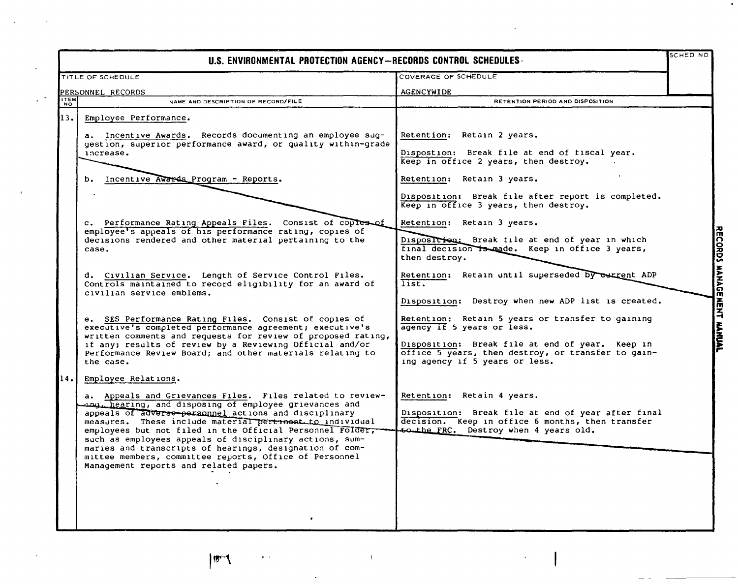| U.S. ENVIRONMENTAL PROTECTION AGENCY-RECORDS CONTROL SCHEDULES. |                                                                                                                                                                                                                                                                                                                                                 |                                                                                                                                         | <b>SCHED NO</b> |
|-----------------------------------------------------------------|-------------------------------------------------------------------------------------------------------------------------------------------------------------------------------------------------------------------------------------------------------------------------------------------------------------------------------------------------|-----------------------------------------------------------------------------------------------------------------------------------------|-----------------|
|                                                                 | TITLE OF SCHEDULE                                                                                                                                                                                                                                                                                                                               | COVERAGE OF SCHEDULE                                                                                                                    |                 |
|                                                                 | PERSONNEL RECORDS                                                                                                                                                                                                                                                                                                                               | AGENCYWIDE                                                                                                                              |                 |
| <b>ITEM</b>                                                     | NAME AND DESCRIPTION OF RECORD/FILE                                                                                                                                                                                                                                                                                                             | RETENTION PERIOD AND DISPOSITION                                                                                                        |                 |
| 13.1                                                            | Employee Performance.<br>a. Incentive Awards. Records documenting an employee sug-<br>gestion, superior performance award, or quality within-grade                                                                                                                                                                                              | Retention: Retain 2 years.                                                                                                              |                 |
|                                                                 | increase.                                                                                                                                                                                                                                                                                                                                       | Dispostion: Break file at end of fiscal year.<br>Keep in office 2 years, then destroy.                                                  |                 |
|                                                                 | b. Incentive Awards Program - Reports.                                                                                                                                                                                                                                                                                                          | Retention: Retain 3 years.                                                                                                              |                 |
|                                                                 |                                                                                                                                                                                                                                                                                                                                                 | Disposition: Break file after report is completed.<br>Keep in office 3 years, then destroy.                                             |                 |
|                                                                 | c. Performance Rating Appeals Files. Consist of coples of                                                                                                                                                                                                                                                                                       | Retention: Retain 3 years.                                                                                                              |                 |
|                                                                 | employee's appeals of his performance rating, copies of<br>decisions rendered and other material pertaining to the<br>case.                                                                                                                                                                                                                     | Disposition: Break file at end of year in which<br>final decision is made. Keep in office 3 years,<br>then destroy.                     |                 |
|                                                                 | d. Civilian Service. Length of Service Control Files.<br>Controls maintained to record eligibility for an award of<br>civilian service emblems.                                                                                                                                                                                                 | Retention: Retain until superseded by current ADP<br>list.<br>Disposition: Destroy when new ADP list is created.                        |                 |
|                                                                 | e. SES Performance Rating Files. Consist of copies of<br>executive's completed performance agreement; executive's                                                                                                                                                                                                                               | Retention: Retain 5 years or transfer to gaining<br>agency if 5 years or less.                                                          |                 |
|                                                                 | written comments and requests for review of proposed rating,<br>if any; results of review by a Reviewing Official and/or<br>Performance Review Board; and other materials relating to<br>the case.                                                                                                                                              | Disposition: Break file at end of year. Keep in<br>office 5 years, then destroy, or transfer to gain-<br>ing agency if 5 years or less. |                 |
| 14.                                                             | Employee Relations.                                                                                                                                                                                                                                                                                                                             |                                                                                                                                         |                 |
|                                                                 | a. Appeals and Grievances Files. Files related to review-<br>when hearing, and disposing of employee grievances and<br>appeals of adverse personnel actions and disciplinary                                                                                                                                                                    | Retention: Retain 4 years.<br>Disposition: Break file at end of year after final                                                        |                 |
|                                                                 | measures. These include material pertrnent to individual<br>employees but not filed in the Official Personnel Folder,<br>such as employees appeals of disciplinary actions, sum-<br>maries and transcripts of hearings, designation of com-<br>mittee members, committee reports, Office of Personnel<br>Management reports and related papers. | decision. Keep in office 6 months, then transfer<br>to the FRC. Destroy when 4 years old.                                               |                 |
|                                                                 |                                                                                                                                                                                                                                                                                                                                                 |                                                                                                                                         |                 |

 $\sim$ 

 $\ddot{\phantom{a}}$ 

~ ~ ~ COl m we<br>H ~ **T**<br>**KANUAL** 

 $\mathbf{r}$  ,  $\mathbf{r}$ 

 $|\mathbf{B}^{\mathrm{ref}}|$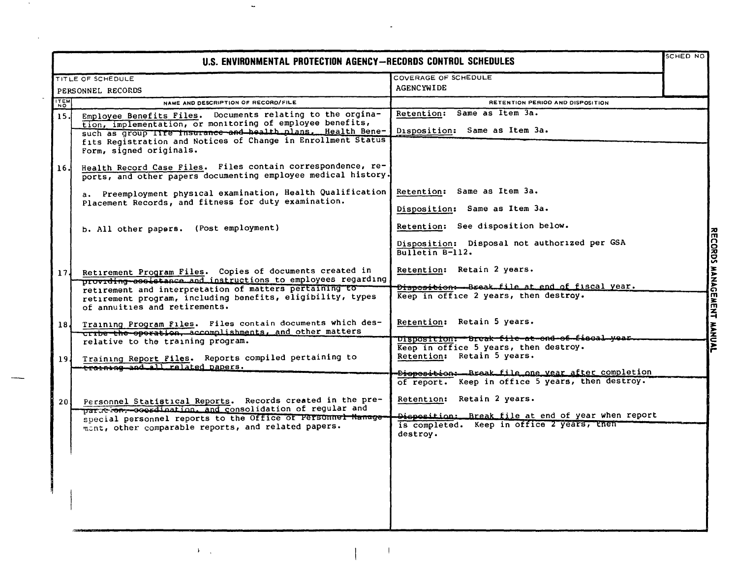| <b>ITEM</b><br>15 <sub>1</sub><br>16.<br>17 <sub>1</sub><br>18 J | TITLE OF SCHEDULE<br>PERSONNEL RECORDS<br>NAME AND DESCRIPTION OF RECORD/FILE<br>Employee Benefits Files. Documents relating to the orgina-<br>tion, implementation, or monitoring of employee benefits,<br>such as group ITTE Insurance and health plans. Health Bene-<br>fits Registration and Notices of Change in Enrollment Status<br>Form, signed originals.<br>Health Record Case Files. Files contain correspondence, re- | COVERAGE OF SCHEDULE<br><b>AGENCYWIDE</b><br>RETENTION PERIOD AND DISPOSITION<br>Retention: Same as Item 3a.<br>Disposition: Same as Item 3a. |  |
|------------------------------------------------------------------|-----------------------------------------------------------------------------------------------------------------------------------------------------------------------------------------------------------------------------------------------------------------------------------------------------------------------------------------------------------------------------------------------------------------------------------|-----------------------------------------------------------------------------------------------------------------------------------------------|--|
|                                                                  |                                                                                                                                                                                                                                                                                                                                                                                                                                   |                                                                                                                                               |  |
|                                                                  |                                                                                                                                                                                                                                                                                                                                                                                                                                   |                                                                                                                                               |  |
|                                                                  |                                                                                                                                                                                                                                                                                                                                                                                                                                   |                                                                                                                                               |  |
|                                                                  |                                                                                                                                                                                                                                                                                                                                                                                                                                   |                                                                                                                                               |  |
|                                                                  | ports, and other papers documenting employee medical history.                                                                                                                                                                                                                                                                                                                                                                     |                                                                                                                                               |  |
|                                                                  | a. Preemployment physical examination, Health Qualification<br>Placement Records, and fitness for duty examination.                                                                                                                                                                                                                                                                                                               | Retention: Same as Item 3a.                                                                                                                   |  |
|                                                                  |                                                                                                                                                                                                                                                                                                                                                                                                                                   | Disposition: Same as Item 3a.                                                                                                                 |  |
|                                                                  | b. All other papers. (Post employment)                                                                                                                                                                                                                                                                                                                                                                                            | Retention: See disposition below.                                                                                                             |  |
|                                                                  |                                                                                                                                                                                                                                                                                                                                                                                                                                   | Disposition: Disposal not authorized per GSA<br>Bulletin B-112.                                                                               |  |
|                                                                  | Retirement Program Files. Copies of documents created in<br>providing-assistance and instructions to employees regarding                                                                                                                                                                                                                                                                                                          | Retention: Retain 2 years.                                                                                                                    |  |
|                                                                  | retirement and interpretation of matters pertaining to<br>retirement program, including benefits, eligibility, types<br>of annuities and retirements.                                                                                                                                                                                                                                                                             | Dispositions-Break file at end of fiscal year.<br>Keep in office 2 years, then destroy.                                                       |  |
|                                                                  | Training Program Files. Files contain documents which des-<br>cribe the operation, accomplishments, and other matters                                                                                                                                                                                                                                                                                                             | Retention: Retain 5 years.                                                                                                                    |  |
|                                                                  | relative to the training program.                                                                                                                                                                                                                                                                                                                                                                                                 | Disposition: Break file at ond of fiscal year.<br>Keep in office 5 years, then destroy.                                                       |  |
| 19 J                                                             | Training Report Files. Reports compiled pertaining to<br>-training and all ralated papers.                                                                                                                                                                                                                                                                                                                                        | Retention: Retain 5 years.                                                                                                                    |  |
|                                                                  |                                                                                                                                                                                                                                                                                                                                                                                                                                   | <del>Diopositi</del> on: Break file one vear after completion<br>of report. Keep in office 5 years, then destroy.                             |  |
| 20 I                                                             | Personnel Statistical Reports. Records created in the pre-<br>paration; coordination, and consolidation of regular and                                                                                                                                                                                                                                                                                                            | Retention: Retain 2 years.                                                                                                                    |  |
|                                                                  | special personnel reports to the Office of Personnel Manage<br>mant, other comparable reports, and related papers.                                                                                                                                                                                                                                                                                                                | Disposition: Break file at end of year when report<br>is completed. Keep in office 2 years, then<br>destrov.                                  |  |
|                                                                  |                                                                                                                                                                                                                                                                                                                                                                                                                                   |                                                                                                                                               |  |

 $\bar{\mathcal{A}}$ 

 $\ddot{\phantom{a}}$ 

 $\mathbf{A}^{(i)}$  ,  $i$ 

 $\lambda$ 

 $\lambda$ 

÷,

RECORDS MANAGEMENT MANUAL

 $\overline{1}$ 

 $\overline{\phantom{a}}$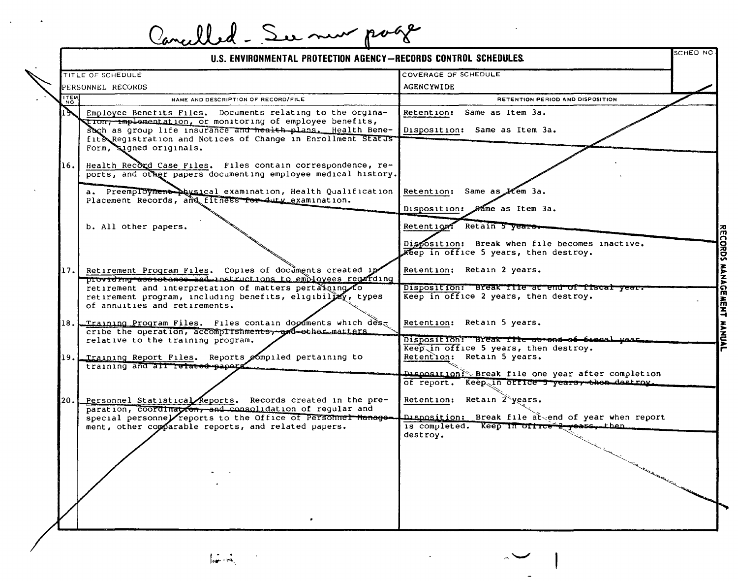|             | U.S. ENVIRONMENTAL PROTECTION AGENCY-RECORDS CONTROL SCHEDULES.                                                                                                                                                                                                                  | SCHED NO                                                                                                                 |
|-------------|----------------------------------------------------------------------------------------------------------------------------------------------------------------------------------------------------------------------------------------------------------------------------------|--------------------------------------------------------------------------------------------------------------------------|
|             | TITLE OF SCHEDULE                                                                                                                                                                                                                                                                | COVERAGE OF SCHEDULE                                                                                                     |
|             | PERSONNEL RECORDS                                                                                                                                                                                                                                                                | <b>AGENCYWIDE</b>                                                                                                        |
| <b>ITEM</b> | NAME AND DESCRIPTION OF RECORD/FILE                                                                                                                                                                                                                                              | RETENTION PERIOD AND DISPOSITION                                                                                         |
|             | Employee Benefits Files. Documents relating to the orgina-<br>tion, implementation, or monitoring of employee benefits,<br>such as group life insurance and health plans. Health Bene-<br>fit Registration and Notices of Change in Enrollment Status<br>Form, signed originals. | Retention: Same as Item 3a.<br>Disposition: Same as Item 3a.                                                             |
| 16.         | Health Record Case Files. Files contain correspondence, re-<br>ports, and other papers documenting employee medical history.                                                                                                                                                     |                                                                                                                          |
|             | a. Preemployment physical examination, Health Qualification<br>Placement Records, and fitness for duty examination.                                                                                                                                                              | Retention: Same as Hem 3a.<br>Disposition: Same as Item 3a.                                                              |
|             | b. All other papers.                                                                                                                                                                                                                                                             | Retention: Retain 5 years<br>Disposition: Break when file becomes inactive.<br>Keep in office 5 years, then destroy.     |
| 17. I       | Retirement Program Files. Copies of documents created in<br>providing assistance and instructions to employees regarding                                                                                                                                                         | Retention: Retain 2 years.                                                                                               |
|             | retirement and interpretation of matters pertaining to<br>retirement program, including benefits, eligibility, types<br>of annuities and retirements.                                                                                                                            | Disposition: Break file at end of fiscal year.<br>Keep in office 2 years, then destroy.                                  |
|             | 18. Training Program Files. Files contain doodments which des-<br>cribe the operation, accomplishments, and other matters<br>relative to the training program.                                                                                                                   | Retention: Retain 5 years.<br>Disposition: Break Tile at end of fleed year.                                              |
|             | 19. Training Report Files. Reports pompiled pertaining to<br>training and all related papers.                                                                                                                                                                                    | Keep in office 5 years, then destroy.<br>Retention: Retain 5 years.<br>Disposition: Break file one year after completion |
|             |                                                                                                                                                                                                                                                                                  | of report. Keep in office 5 years, then destroy.                                                                         |
| 20.1        | Personnel Statistical Reports. Records created in the pre-<br>paration, coordination, and consolidation of regular and<br>special personnel reports to the Office of Personnel Manage-                                                                                           | Retention: Retain 2 years.<br>Disposition: Break file at end of year when report                                         |
|             | ment, other comparable reports, and related papers.                                                                                                                                                                                                                              | is completed. Keep in office 2 years, then.<br>destroy.                                                                  |
|             |                                                                                                                                                                                                                                                                                  |                                                                                                                          |
|             |                                                                                                                                                                                                                                                                                  |                                                                                                                          |



 $\Delta$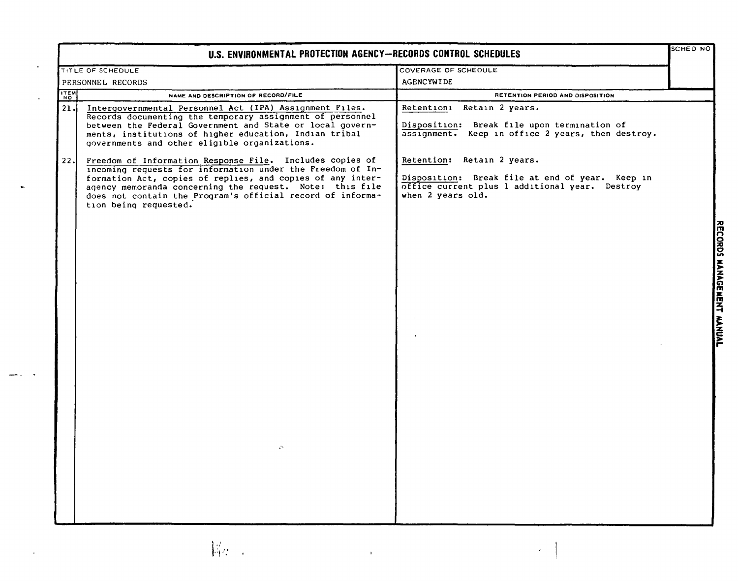| U.S. ENVIRONMENTAL PROTECTION AGENCY-RECORDS CONTROL SCHEDULES |                                                                                                                                                                                                                                                                                                                                                           |                                                                                                                                                      | SCHED NO |
|----------------------------------------------------------------|-----------------------------------------------------------------------------------------------------------------------------------------------------------------------------------------------------------------------------------------------------------------------------------------------------------------------------------------------------------|------------------------------------------------------------------------------------------------------------------------------------------------------|----------|
|                                                                | TITLE OF SCHEDULE                                                                                                                                                                                                                                                                                                                                         | COVERAGE OF SCHEDULE                                                                                                                                 |          |
|                                                                | PERSONNEL RECORDS                                                                                                                                                                                                                                                                                                                                         | <b>AGENCYWIDE</b>                                                                                                                                    |          |
| <b>ITEM</b>                                                    | NAME AND DESCRIPTION OF RECORD/FILE                                                                                                                                                                                                                                                                                                                       | RETENTION PERIOD AND DISPOSITION                                                                                                                     |          |
| 21.                                                            | Intergovernmental Personnel Act (IPA) Assignment Files.<br>Records documenting the temporary assignment of personnel<br>between the Federal Government and State or local govern-<br>ments, institutions of higher education, Indian tribal<br>governments and other eligible organizations.                                                              | Retain 2 years.<br>Retention:<br>Disposition: Break file upon termination of<br>assignment. Keep in office 2 years, then destroy.                    |          |
| 22.                                                            | Freedom of Information Response File. Includes copies of<br>incoming requests for information under the Freedom of In-<br>formation Act, copies of replies, and copies of any inter-<br>agency memoranda concerning the request. Note: this file<br>does not contain the Program's official record of informa-<br>tion being requested.<br>$\mathfrak{S}$ | Retention: Retain 2 years.<br>Disposition: Break file at end of year. Keep in<br>office current plus 1 additional year. Destroy<br>when 2 years old. |          |
|                                                                | 据: :<br>$\mathbf{I}$                                                                                                                                                                                                                                                                                                                                      |                                                                                                                                                      |          |

 $\epsilon$ 

 $\ddot{\phantom{1}}$ 

**RECORDS** ~,. www.cce.mc ranyw **MUAL**